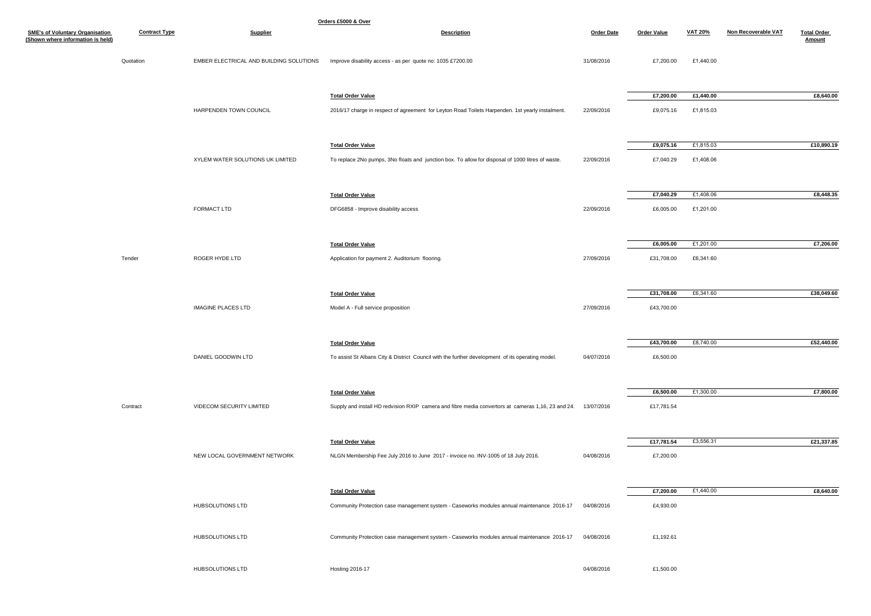| Orders £5000 & Over                                                         |                      |                                         |                                                                                                               |                   |                    |                |                     |                              |
|-----------------------------------------------------------------------------|----------------------|-----------------------------------------|---------------------------------------------------------------------------------------------------------------|-------------------|--------------------|----------------|---------------------|------------------------------|
| <b>SME's of Voluntary Organisation</b><br>(Shown where information is held) | <b>Contract Type</b> | <b>Supplier</b>                         | <b>Description</b>                                                                                            | <b>Order Date</b> | <b>Order Value</b> | <b>VAT 20%</b> | Non Recoverable VAT | <b>Total Order</b><br>Amount |
|                                                                             | Quotation            | EMBER ELECTRICAL AND BUILDING SOLUTIONS | Improve disability access - as per quote no: 1035 £7200.00                                                    | 31/08/2016        | £7,200.00          | £1,440.00      |                     |                              |
|                                                                             |                      |                                         | <b>Total Order Value</b>                                                                                      |                   | £7,200.00          | £1,440.00      |                     | £8,640.00                    |
|                                                                             |                      | HARPENDEN TOWN COUNCIL                  | 2016/17 charge in respect of agreement for Leyton Road Toilets Harpenden. 1st yearly instalment.              | 22/09/2016        | £9,075.16          | £1,815.03      |                     |                              |
|                                                                             |                      |                                         | <b>Total Order Value</b>                                                                                      |                   | £9,075.16          | £1,815.03      |                     | £10,890.19                   |
|                                                                             |                      | XYLEM WATER SOLUTIONS UK LIMITED        | To replace 2No pumps, 3No floats and junction box. To allow for disposal of 1000 litres of waste.             | 22/09/2016        | £7,040.29          | £1,408.06      |                     |                              |
|                                                                             |                      |                                         | <b>Total Order Value</b>                                                                                      |                   | £7,040.29          | £1,408.06      |                     | £8,448.35                    |
|                                                                             |                      | FORMACT LTD                             | DFG6858 - Improve disability access                                                                           | 22/09/2016        | £6,005.00          | £1,201.00      |                     |                              |
|                                                                             |                      |                                         | <b>Total Order Value</b>                                                                                      |                   | £6,005.00          | £1,201.00      |                     | £7,206.00                    |
|                                                                             | Tender               | ROGER HYDE LTD                          | Application for payment 2. Auditorium flooring.                                                               | 27/09/2016        | £31,708.00         | £6,341.60      |                     |                              |
|                                                                             |                      |                                         | <b>Total Order Value</b>                                                                                      |                   | £31,708.00         | £6,341.60      |                     | £38,049.60                   |
|                                                                             |                      | <b>IMAGINE PLACES LTD</b>               | Model A - Full service proposition                                                                            | 27/09/2016        | £43,700.00         |                |                     |                              |
|                                                                             |                      |                                         | <b>Total Order Value</b>                                                                                      |                   | £43,700.00         | £8,740.00      |                     | £52,440.00                   |
|                                                                             |                      | DANIEL GOODWIN LTD                      | To assist St Albans City & District Council with the further development of its operating model.              | 04/07/2016        | £6,500.00          |                |                     |                              |
|                                                                             |                      |                                         | <b>Total Order Value</b>                                                                                      |                   | £6,500.00          | £1,300.00      |                     | £7,800.00                    |
|                                                                             | Contract             | VIDECOM SECURITY LIMITED                | Supply and install HD redvision RXIP camera and fibre media convertors at cameras 1,16, 23 and 24. 13/07/2016 |                   | £17,781.54         |                |                     |                              |
|                                                                             |                      |                                         | <b>Total Order Value</b>                                                                                      |                   | £17,781.54         | £3,556.31      |                     | £21,337.85                   |
|                                                                             |                      | NEW LOCAL GOVERNMENT NETWORK            | NLGN Membership Fee July 2016 to June 2017 - invoice no. INV-1005 of 18 July 2016.                            | 04/08/2016        | £7,200.00          |                |                     |                              |
|                                                                             |                      |                                         | <b>Total Order Value</b>                                                                                      |                   | £7,200.00          | £1,440.00      |                     | £8,640.00                    |
|                                                                             |                      | HUBSOLUTIONS LTD                        | Community Protection case management system - Caseworks modules annual maintenance 2016-17 04/08/2016         |                   | £4,930.00          |                |                     |                              |
|                                                                             |                      | HUBSOLUTIONS LTD                        | Community Protection case management system - Caseworks modules annual maintenance 2016-17                    | 04/08/2016        | £1,192.61          |                |                     |                              |
|                                                                             |                      | HUBSOLUTIONS LTD                        | Hosting 2016-17                                                                                               | 04/08/2016        | £1,500.00          |                |                     |                              |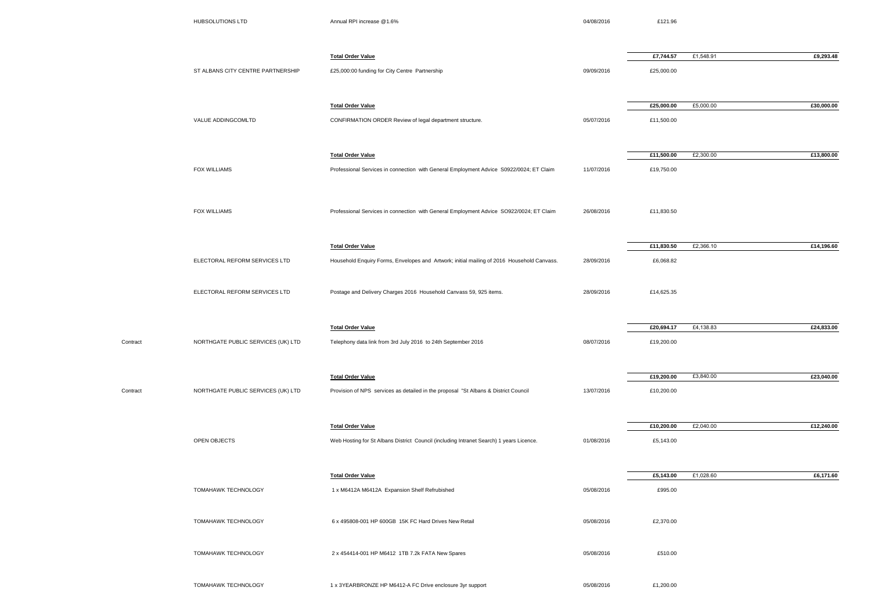|          | HUBSOLUTIONS LTD                   | Annual RPI increase @1.6%                                                                  | 04/08/2016 | £121.96    |           |            |
|----------|------------------------------------|--------------------------------------------------------------------------------------------|------------|------------|-----------|------------|
|          |                                    | <b>Total Order Value</b>                                                                   |            | £7,744.57  | £1,548.91 | £9,293.48  |
|          | ST ALBANS CITY CENTRE PARTNERSHIP  | £25,000:00 funding for City Centre Partnership                                             | 09/09/2016 | £25,000.00 |           |            |
|          |                                    | <b>Total Order Value</b>                                                                   |            | £25,000.00 | £5,000.00 | £30,000.00 |
|          | VALUE ADDINGCOMLTD                 | CONFIRMATION ORDER Review of legal department structure.                                   | 05/07/2016 | £11,500.00 |           |            |
|          |                                    | <b>Total Order Value</b>                                                                   |            | £11,500.00 | £2,300.00 | £13,800.00 |
|          | FOX WILLIAMS                       | Professional Services in connection with General Employment Advice S0922/0024; ET Claim    | 11/07/2016 | £19,750.00 |           |            |
|          | FOX WILLIAMS                       | Professional Services in connection with General Employment Advice SO922/0024; ET Claim    | 26/08/2016 | £11,830.50 |           |            |
|          |                                    | <b>Total Order Value</b>                                                                   |            | £11,830.50 | £2,366.10 | £14,196.60 |
|          | ELECTORAL REFORM SERVICES LTD      | Household Enquiry Forms, Envelopes and Artwork; initial mailing of 2016 Household Canvass. | 28/09/2016 | £6,068.82  |           |            |
|          | ELECTORAL REFORM SERVICES LTD      | Postage and Delivery Charges 2016 Household Canvass 59, 925 items.                         | 28/09/2016 | £14,625.35 |           |            |
|          |                                    | <b>Total Order Value</b>                                                                   |            | £20,694.17 | £4,138.83 | £24,833.00 |
| Contract | NORTHGATE PUBLIC SERVICES (UK) LTD | Telephony data link from 3rd July 2016 to 24th September 2016                              | 08/07/2016 | £19,200.00 |           |            |
|          |                                    | <b>Total Order Value</b>                                                                   |            | £19,200.00 | £3,840.00 | £23,040.00 |
| Contract | NORTHGATE PUBLIC SERVICES (UK) LTD | Provision of NPS services as detailed in the proposal "St Albans & District Council        | 13/07/2016 | £10,200.00 |           |            |
|          |                                    | <b>Total Order Value</b>                                                                   |            | £10,200.00 | £2,040.00 | £12,240.00 |
|          | OPEN OBJECTS                       | Web Hosting for St Albans District Council (including Intranet Search) 1 years Licence.    | 01/08/2016 | £5,143.00  |           |            |
|          |                                    | <b>Total Order Value</b>                                                                   |            | £5,143.00  | £1,028.60 | £6,171.60  |
|          | TOMAHAWK TECHNOLOGY                | 1 x M6412A M6412A Expansion Shelf Refrubished                                              | 05/08/2016 | £995.00    |           |            |
|          | TOMAHAWK TECHNOLOGY                | 6 x 495808-001 HP 600GB 15K FC Hard Drives New Retail                                      | 05/08/2016 | £2,370.00  |           |            |
|          | TOMAHAWK TECHNOLOGY                | 2 x 454414-001 HP M6412 1TB 7.2k FATA New Spares                                           | 05/08/2016 | £510.00    |           |            |
|          | <b>TOMAHAWK TECHNOLOGY</b>         | 1 x 3YEARBRONZE HP M6412-A FC Drive enclosure 3yr support                                  | 05/08/2016 | £1,200.00  |           |            |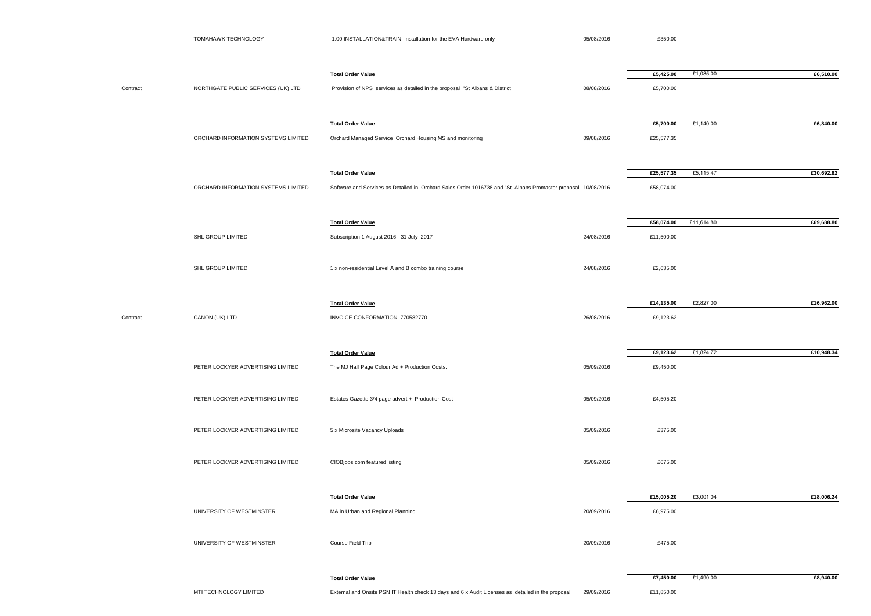|          | TOMAHAWK TECHNOLOGY                 | 1.00 INSTALLATION&TRAIN Installation for the EVA Hardware only                                                                            | 05/08/2016 | £350.00                  |            |            |
|----------|-------------------------------------|-------------------------------------------------------------------------------------------------------------------------------------------|------------|--------------------------|------------|------------|
| Contract | NORTHGATE PUBLIC SERVICES (UK) LTD  | <b>Total Order Value</b><br>Provision of NPS services as detailed in the proposal "St Albans & District                                   | 08/08/2016 | £5,425.00<br>£5,700.00   | £1,085.00  | £6,510.00  |
|          | ORCHARD INFORMATION SYSTEMS LIMITED | <b>Total Order Value</b><br>Orchard Managed Service Orchard Housing MS and monitoring                                                     | 09/08/2016 | £5,700.00<br>£25,577.35  | £1,140.00  | £6,840.00  |
|          | ORCHARD INFORMATION SYSTEMS LIMITED | <b>Total Order Value</b><br>Software and Services as Detailed in Orchard Sales Order 1016738 and "St Albans Promaster proposal 10/08/2016 |            | £25,577.35<br>£58,074.00 | £5,115.47  | £30,692.82 |
|          | SHL GROUP LIMITED                   | <b>Total Order Value</b><br>Subscription 1 August 2016 - 31 July 2017                                                                     | 24/08/2016 | £58,074.00<br>£11,500.00 | £11,614.80 | £69,688.80 |
|          | SHL GROUP LIMITED                   | 1 x non-residential Level A and B combo training course                                                                                   | 24/08/2016 | £2,635.00                |            |            |
| Contract | CANON (UK) LTD                      | <b>Total Order Value</b><br>INVOICE CONFORMATION: 770582770                                                                               | 26/08/2016 | £14,135.00<br>£9,123.62  | £2,827.00  | £16,962.00 |
|          | PETER LOCKYER ADVERTISING LIMITED   | <b>Total Order Value</b><br>The MJ Half Page Colour Ad + Production Costs.                                                                | 05/09/2016 | £9,123.62<br>£9,450.00   | £1,824.72  | £10,948.34 |
|          | PETER LOCKYER ADVERTISING LIMITED   | Estates Gazette 3/4 page advert + Production Cost                                                                                         | 05/09/2016 | £4,505.20                |            |            |
|          | PETER LOCKYER ADVERTISING LIMITED   | 5 x Microsite Vacancy Uploads                                                                                                             | 05/09/2016 | £375.00                  |            |            |
|          | PETER LOCKYER ADVERTISING LIMITED   | CIOBjobs.com featured listing                                                                                                             | 05/09/2016 | £675.00                  |            |            |
|          | UNIVERSITY OF WESTMINSTER           | <b>Total Order Value</b><br>MA in Urban and Regional Planning.                                                                            | 20/09/2016 | £15,005.20<br>£6,975.00  | £3,001.04  | £18,006.24 |
|          | UNIVERSITY OF WESTMINSTER           | Course Field Trip                                                                                                                         | 20/09/2016 | £475.00                  |            |            |
|          | MTI TECHNOLOGY LIMITED              | <b>Total Order Value</b><br>External and Onsite PSN IT Health check 13 days and 6 x Audit Licenses as detailed in the proposal            | 29/09/2016 | £7,450.00<br>£11,850.00  | £1,490.00  | £8,940.00  |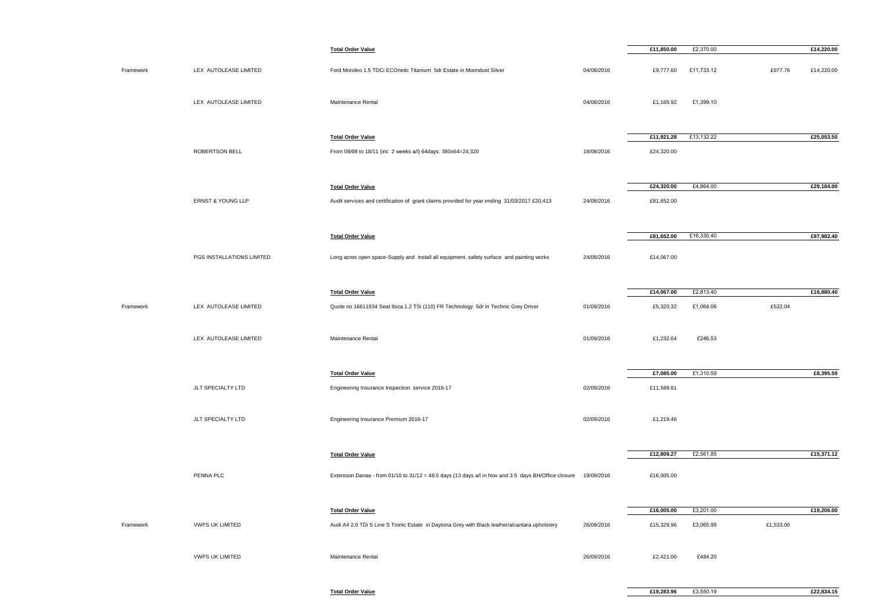|           |                           | <b>Total Order Value</b>                                                                                        |            | £11,850.00               | £2,370.00  |           | £14,220.00 |
|-----------|---------------------------|-----------------------------------------------------------------------------------------------------------------|------------|--------------------------|------------|-----------|------------|
| Framework | LEX AUTOLEASE LIMITED     | Ford Mondeo 1.5 TDCi ECOnetic Titanium 5dr Estate in Moondust Silver                                            | 04/08/2016 | £9,777.60                | £11,733.12 | £977.76   | £14,220.00 |
|           | LEX AUTOLEASE LIMITED     | Maintenance Rental                                                                                              | 04/08/2016 | £1,165.92                | £1,399.10  |           |            |
|           | ROBERTSON BELL            | <b>Total Order Value</b><br>From 08/08 to 18/11 (inc 2 weeks a/l) 64days. 380x64=24,320                         | 18/08/2016 | £11,921.28<br>£24,320.00 | £13,132.22 |           | £25,053.50 |
|           |                           |                                                                                                                 |            |                          |            |           |            |
|           |                           | <b>Total Order Value</b>                                                                                        |            | £24,320.00               | £4,864.00  |           | £29,184.00 |
|           | ERNST & YOUNG LLP         | Audit services and certification of grant claims provided for year ending 31/03/2017 £20,413                    | 24/08/2016 | £81,652.00               |            |           |            |
|           |                           | <b>Total Order Value</b>                                                                                        |            | £81,652.00               | £16,330.40 |           | £97,982.40 |
|           | PGS INSTALLATIONS LIMITED | Long acres open space-Supply and install all equipment, safety surface and painting works                       | 24/08/2016 | £14,067.00               |            |           |            |
|           |                           | <b>Total Order Value</b>                                                                                        |            | £14,067.00               | £2,813.40  |           | £16,880.40 |
| Framework | LEX AUTOLEASE LIMITED     | Quote no 16611934 Seat Ibiza 1.2 TSi (110) FR Technology 5dr in Technic Grey Driver                             | 01/09/2016 | £5,320.32                | £1,064.06  | £532.04   |            |
|           | LEX AUTOLEASE LIMITED     | Maintenance Rental                                                                                              | 01/09/2016 | £1,232.64                | £246.53    |           |            |
|           |                           | <b>Total Order Value</b>                                                                                        |            | £7,085.00                | £1,310.59  |           | £8,395.59  |
|           | JLT SPECIALTY LTD         | Engineering Insurance Inspection service 2016-17                                                                | 02/09/2016 | £11,589.81               |            |           |            |
|           | JLT SPECIALTY LTD         | Engineering Insurance Premium 2016-17                                                                           | 02/09/2016 | £1,219.46                |            |           |            |
|           |                           | <b>Total Order Value</b>                                                                                        |            | £12,809.27               | £2,561.85  |           | £15,371.12 |
|           | PENNA PLC                 | Extension Danae - from 01/10 to 31/12 = 48.5 days (13 days a/l in Nov and 3.5 days BH/Office closure 19/09/2016 |            | £16,005.00               |            |           |            |
|           |                           | <b>Total Order Value</b>                                                                                        |            | £16,005.00               | £3,201.00  |           | £19,206.00 |
| Framework | <b>VWFS UK LIMITED</b>    | Audi A4 2.0 TDi S Line S Tronic Estate in Daytona Grey with Black leather/alcantara upholstery                  | 26/09/2016 | £15,329.96               | £3,065.99  | £1,533.00 |            |
|           | <b>VWFS UK LIMITED</b>    | Maintenance Rental                                                                                              | 26/09/2016 | £2,421.00                | £484.20    |           |            |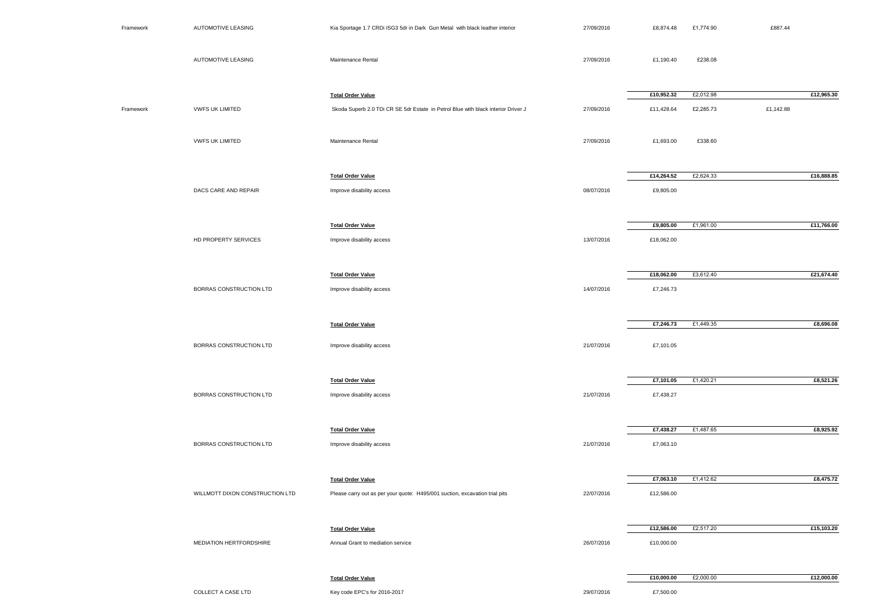| Framework | <b>AUTOMOTIVE LEASING</b>       | Kia Sportage 1.7 CRDi ISG3 5dr in Dark Gun Metal with black leather interior      | 27/09/2016 | £8,874.48  | £1,774.90 | £887.44    |
|-----------|---------------------------------|-----------------------------------------------------------------------------------|------------|------------|-----------|------------|
|           | AUTOMOTIVE LEASING              | Maintenance Rental                                                                | 27/09/2016 | £1,190.40  | £238.08   |            |
|           |                                 | <b>Total Order Value</b>                                                          |            | £10,952.32 | £2,012.98 | £12,965.30 |
| Framework | <b>VWFS UK LIMITED</b>          | Skoda Superb 2.0 TDi CR SE 5dr Estate in Petrol Blue with black interior Driver J | 27/09/2016 | £11,428.64 | £2,285.73 | £1,142.88  |
|           | <b>VWFS UK LIMITED</b>          | Maintenance Rental                                                                | 27/09/2016 | £1,693.00  | £338.60   |            |
|           |                                 | <b>Total Order Value</b>                                                          |            | £14,264.52 | £2,624.33 | £16,888.85 |
|           | DACS CARE AND REPAIR            | Improve disability access                                                         | 08/07/2016 | £9,805.00  |           |            |
|           |                                 | <b>Total Order Value</b>                                                          |            | £9,805.00  | £1,961.00 | £11,766.00 |
|           | HD PROPERTY SERVICES            | Improve disability access                                                         | 13/07/2016 | £18,062.00 |           |            |
|           |                                 | <b>Total Order Value</b>                                                          |            | £18,062.00 | £3,612.40 | £21,674.40 |
|           | BORRAS CONSTRUCTION LTD         | Improve disability access                                                         | 14/07/2016 | £7,246.73  |           |            |
|           |                                 | <b>Total Order Value</b>                                                          |            | £7,246.73  | £1,449.35 | £8,696.08  |
|           | BORRAS CONSTRUCTION LTD         | Improve disability access                                                         | 21/07/2016 | £7,101.05  |           |            |
|           |                                 | <b>Total Order Value</b>                                                          |            | £7,101.05  | £1,420.21 | £8,521.26  |
|           | BORRAS CONSTRUCTION LTD         | Improve disability access                                                         | 21/07/2016 | £7,438.27  |           |            |
|           |                                 | <b>Total Order Value</b>                                                          |            | £7,438.27  | £1,487.65 | £8,925.92  |
|           | BORRAS CONSTRUCTION LTD         | Improve disability access                                                         | 21/07/2016 | £7,063.10  |           |            |
|           |                                 | <b>Total Order Value</b>                                                          |            | £7,063.10  | £1,412.62 | £8,475.72  |
|           | WILLMOTT DIXON CONSTRUCTION LTD | Please carry out as per your quote: H495/001 suction, excavation trial pits       | 22/07/2016 | £12,586.00 |           |            |
|           |                                 | <b>Total Order Value</b>                                                          |            | £12,586.00 | £2,517.20 | £15,103.20 |
|           | <b>MEDIATION HERTFORDSHIRE</b>  | Annual Grant to mediation service                                                 | 26/07/2016 | £10,000.00 |           |            |
|           |                                 | <b>Total Order Value</b>                                                          |            | £10,000.00 | £2,000.00 | £12,000.00 |
|           | COLLECT A CASE LTD              | Key code EPC's for 2016-2017                                                      | 29/07/2016 | £7,500.00  |           |            |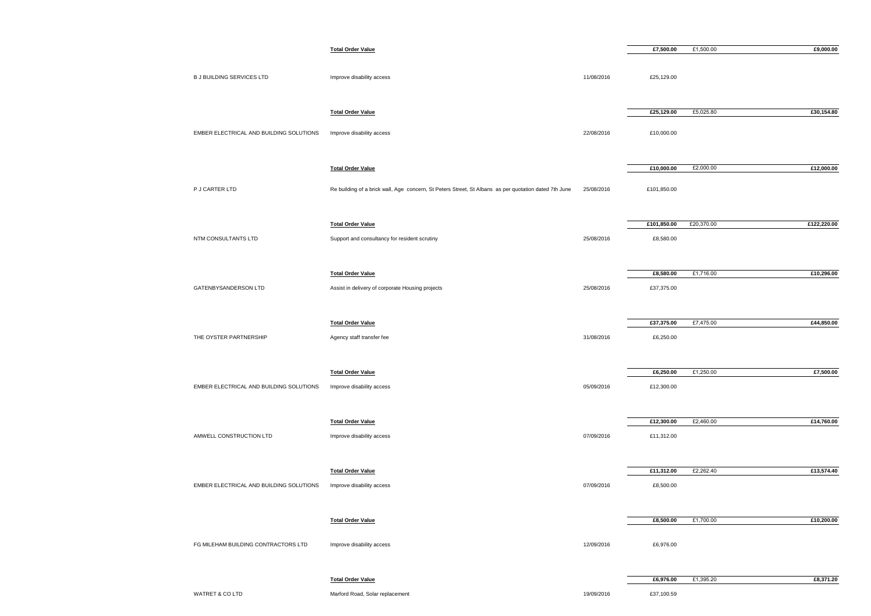|                                         | <b>Total Order Value</b>                                                                              |            | £7,500.00   | £1,500.00  | £9,000.00   |
|-----------------------------------------|-------------------------------------------------------------------------------------------------------|------------|-------------|------------|-------------|
| <b>B J BUILDING SERVICES LTD</b>        | Improve disability access                                                                             | 11/08/2016 | £25,129.00  |            |             |
|                                         | <b>Total Order Value</b>                                                                              |            | £25,129.00  | £5,025.80  | £30,154.80  |
| EMBER ELECTRICAL AND BUILDING SOLUTIONS | Improve disability access                                                                             | 22/08/2016 | £10,000.00  |            |             |
|                                         | <b>Total Order Value</b>                                                                              |            | £10,000.00  | £2,000.00  | £12,000.00  |
| P J CARTER LTD                          | Re building of a brick wall, Age concern, St Peters Street, St Albans as per quotation dated 7th June | 25/08/2016 | £101,850.00 |            |             |
|                                         | <b>Total Order Value</b>                                                                              |            | £101,850.00 | £20,370.00 | £122,220.00 |
| NTM CONSULTANTS LTD                     | Support and consultancy for resident scrutiny                                                         | 25/08/2016 | £8,580.00   |            |             |
|                                         | <b>Total Order Value</b>                                                                              |            | £8,580.00   | £1,716.00  | £10,296.00  |
| GATENBYSANDERSON LTD                    | Assist in delivery of corporate Housing projects                                                      | 25/08/2016 | £37,375.00  |            |             |
|                                         | <b>Total Order Value</b>                                                                              |            | £37,375.00  | £7,475.00  | £44,850.00  |
| THE OYSTER PARTNERSHIP                  | Agency staff transfer fee                                                                             | 31/08/2016 | £6,250.00   |            |             |
|                                         | <b>Total Order Value</b>                                                                              |            | £6,250.00   | £1,250.00  | £7,500.00   |
| EMBER ELECTRICAL AND BUILDING SOLUTIONS | Improve disability access                                                                             | 05/09/2016 | £12,300.00  |            |             |
|                                         | <b>Total Order Value</b>                                                                              |            | £12,300.00  | £2,460.00  | £14,760.00  |
| AMWELL CONSTRUCTION LTD                 | Improve disability access                                                                             | 07/09/2016 | £11,312.00  |            |             |
|                                         | <b>Total Order Value</b>                                                                              |            | £11,312.00  | £2,262.40  | £13,574.40  |
| EMBER ELECTRICAL AND BUILDING SOLUTIONS | Improve disability access                                                                             | 07/09/2016 | £8,500.00   |            |             |
|                                         | <b>Total Order Value</b>                                                                              |            | £8,500.00   | £1,700.00  | £10,200.00  |
| FG MILEHAM BUILDING CONTRACTORS LTD     | Improve disability access                                                                             | 12/09/2016 | £6,976.00   |            |             |
|                                         | <b>Total Order Value</b>                                                                              |            | £6,976.00   | £1,395.20  | £8,371.20   |
| WATRET & CO LTD                         | Marford Road, Solar replacement                                                                       | 19/09/2016 | £37,100.59  |            |             |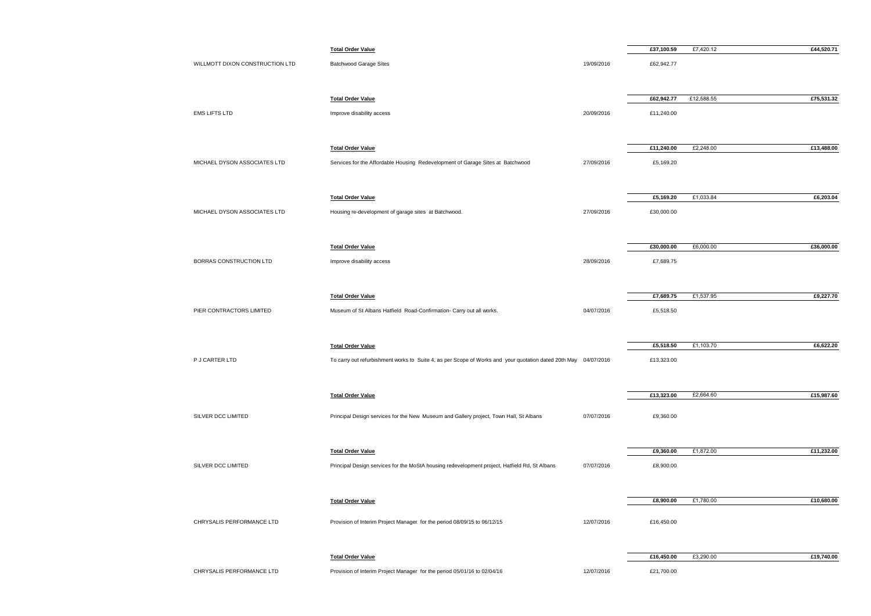|                                 | <b>Total Order Value</b>                                                                                        |            | £37,100.59 | £7,420.12  | £44,520.71 |
|---------------------------------|-----------------------------------------------------------------------------------------------------------------|------------|------------|------------|------------|
| WILLMOTT DIXON CONSTRUCTION LTD | <b>Batchwood Garage Sites</b>                                                                                   | 19/09/2016 | £62,942.77 |            |            |
|                                 |                                                                                                                 |            | £62,942.77 | £12,588.55 | £75,531.32 |
|                                 | <b>Total Order Value</b>                                                                                        |            |            |            |            |
| <b>EMS LIFTS LTD</b>            | Improve disability access                                                                                       | 20/09/2016 | £11,240.00 |            |            |
|                                 | <b>Total Order Value</b>                                                                                        |            | £11,240.00 | £2,248.00  | £13,488.00 |
| MICHAEL DYSON ASSOCIATES LTD    | Services for the Affordable Housing Redevelopment of Garage Sites at Batchwood                                  | 27/09/2016 | £5,169.20  |            |            |
|                                 | <b>Total Order Value</b>                                                                                        |            | £5,169.20  | £1,033.84  | £6,203.04  |
| MICHAEL DYSON ASSOCIATES LTD    | Housing re-development of garage sites at Batchwood.                                                            | 27/09/2016 | £30,000.00 |            |            |
|                                 |                                                                                                                 |            |            |            |            |
|                                 | <b>Total Order Value</b>                                                                                        |            | £30,000.00 | £6,000.00  | £36,000.00 |
| BORRAS CONSTRUCTION LTD         | Improve disability access                                                                                       | 28/09/2016 | £7,689.75  |            |            |
|                                 | <b>Total Order Value</b>                                                                                        |            | £7,689.75  | £1,537.95  | £9,227.70  |
| PIER CONTRACTORS LIMITED        | Museum of St Albans Hatfield Road-Confirmation- Carry out all works.                                            | 04/07/2016 | £5,518.50  |            |            |
|                                 | <b>Total Order Value</b>                                                                                        |            | £5,518.50  | £1,103.70  | £6,622.20  |
| P J CARTER LTD                  | To carry out refurbishment works to Suite 4, as per Scope of Works and your quotation dated 20th May 04/07/2016 |            | £13,323.00 |            |            |
|                                 | <b>Total Order Value</b>                                                                                        |            | £13,323.00 | £2,664.60  | £15,987.60 |
|                                 |                                                                                                                 |            |            |            |            |
| SILVER DCC LIMITED              | Principal Design services for the New Museum and Gallery project, Town Hall, St Albans                          | 07/07/2016 | £9,360.00  |            |            |
|                                 | <b>Total Order Value</b>                                                                                        |            | £9,360.00  | £1,872.00  | £11,232.00 |
| SILVER DCC LIMITED              | Principal Design services for the MoStA housing redevelopment project, Hatfield Rd, St Albans                   | 07/07/2016 | £8,900.00  |            |            |
|                                 |                                                                                                                 |            | £8,900.00  | £1,780.00  | £10,680.00 |
|                                 | <b>Total Order Value</b>                                                                                        |            |            |            |            |
| CHRYSALIS PERFORMANCE LTD       | Provision of Interim Project Manager for the period 08/09/15 to 06/12/15                                        | 12/07/2016 | £16,450.00 |            |            |
|                                 | <b>Total Order Value</b>                                                                                        |            | £16,450.00 | £3,290.00  | £19,740.00 |
| CHRYSALIS PERFORMANCE LTD       | Provision of Interim Project Manager for the period 05/01/16 to 02/04/16                                        | 12/07/2016 | £21,700.00 |            |            |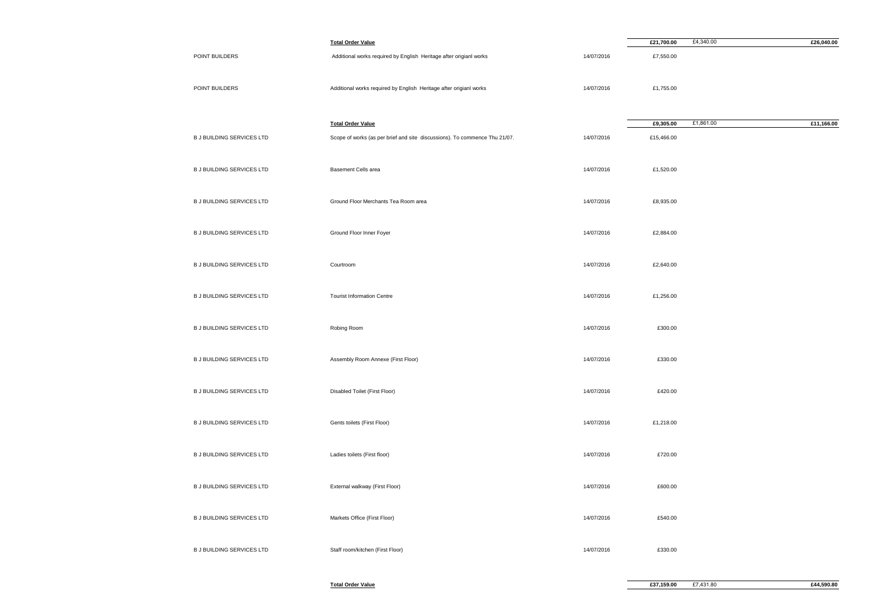|                                  | <b>Total Order Value</b>                                                   |            | £21,700.00 | £4,340.00 | £26,040.00 |
|----------------------------------|----------------------------------------------------------------------------|------------|------------|-----------|------------|
| POINT BUILDERS                   | Additional works required by English Heritage after origianl works         | 14/07/2016 | £7,550.00  |           |            |
| POINT BUILDERS                   | Additional works required by English Heritage after origianl works         | 14/07/2016 | £1,755.00  |           |            |
|                                  | <b>Total Order Value</b>                                                   |            | £9,305.00  | £1,861.00 | £11,166.00 |
| <b>B J BUILDING SERVICES LTD</b> | Scope of works (as per brief and site discussions). To commence Thu 21/07. | 14/07/2016 | £15,466.00 |           |            |
| <b>B J BUILDING SERVICES LTD</b> | Basement Cells area                                                        | 14/07/2016 | £1,520.00  |           |            |
| <b>B J BUILDING SERVICES LTD</b> | Ground Floor Merchants Tea Room area                                       | 14/07/2016 | £8,935.00  |           |            |
| <b>B J BUILDING SERVICES LTD</b> | Ground Floor Inner Foyer                                                   | 14/07/2016 | £2,884.00  |           |            |
| <b>B J BUILDING SERVICES LTD</b> | Courtroom                                                                  | 14/07/2016 | £2,640.00  |           |            |
| <b>B J BUILDING SERVICES LTD</b> | <b>Tourist Information Centre</b>                                          | 14/07/2016 | £1,256.00  |           |            |
| <b>B J BUILDING SERVICES LTD</b> | Robing Room                                                                | 14/07/2016 | £300.00    |           |            |
| <b>B J BUILDING SERVICES LTD</b> | Assembly Room Annexe (First Floor)                                         | 14/07/2016 | £330.00    |           |            |
| <b>B J BUILDING SERVICES LTD</b> | Disabled Toilet (First Floor)                                              | 14/07/2016 | £420.00    |           |            |
| <b>B J BUILDING SERVICES LTD</b> | Gents toilets (First Floor)                                                | 14/07/2016 | £1,218.00  |           |            |
| <b>B J BUILDING SERVICES LTD</b> | Ladies toilets (First floor)                                               | 14/07/2016 | £720.00    |           |            |
| <b>B J BUILDING SERVICES LTD</b> | External walkway (First Floor)                                             | 14/07/2016 | £600.00    |           |            |
| <b>B J BUILDING SERVICES LTD</b> | Markets Office (First Floor)                                               | 14/07/2016 | £540.00    |           |            |
| <b>B J BUILDING SERVICES LTD</b> | Staff room/kitchen (First Floor)                                           | 14/07/2016 | £330.00    |           |            |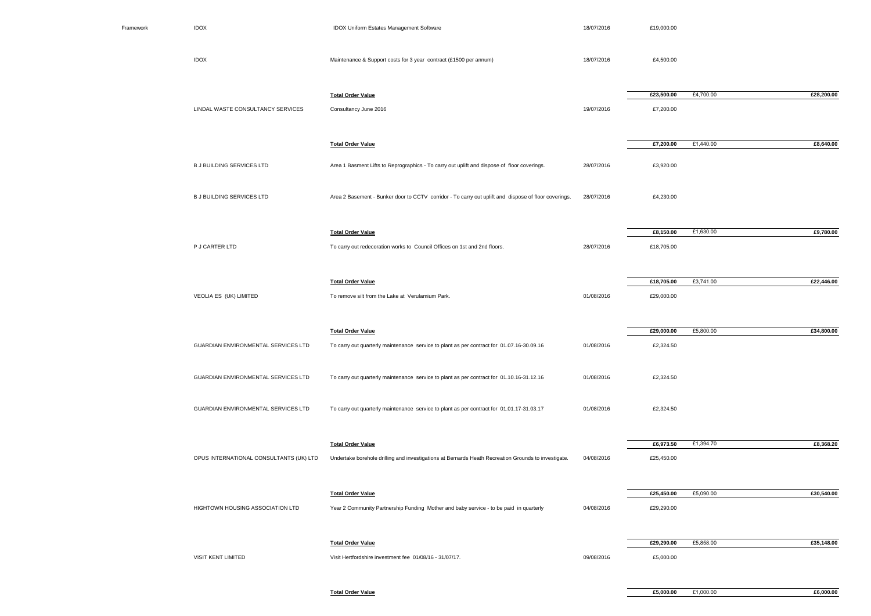| Framework | <b>IDOX</b>                             | IDOX Uniform Estates Management Software                                                             | 18/07/2016 | £19,000.00              |           |            |
|-----------|-----------------------------------------|------------------------------------------------------------------------------------------------------|------------|-------------------------|-----------|------------|
|           | <b>IDOX</b>                             | Maintenance & Support costs for 3 year contract (£1500 per annum)                                    | 18/07/2016 | £4,500.00               |           |            |
|           | LINDAL WASTE CONSULTANCY SERVICES       | <b>Total Order Value</b><br>Consultancy June 2016                                                    | 19/07/2016 | £23,500.00<br>£7,200.00 | £4,700.00 | £28,200.00 |
|           |                                         | <b>Total Order Value</b>                                                                             |            | £7,200.00               | £1,440.00 | £8,640.00  |
|           | <b>B J BUILDING SERVICES LTD</b>        | Area 1 Basment Lifts to Reprographics - To carry out uplift and dispose of floor coverings.          | 28/07/2016 | £3,920.00               |           |            |
|           | <b>B J BUILDING SERVICES LTD</b>        | Area 2 Basement - Bunker door to CCTV corridor - To carry out uplift and dispose of floor coverings. | 28/07/2016 | £4,230.00               |           |            |
|           |                                         | <b>Total Order Value</b>                                                                             |            | £8,150.00               | £1,630.00 | £9,780.00  |
|           | P J CARTER LTD                          | To carry out redecoration works to Council Offices on 1st and 2nd floors.                            | 28/07/2016 | £18,705.00              |           |            |
|           |                                         |                                                                                                      |            |                         |           |            |
|           |                                         | <b>Total Order Value</b>                                                                             |            | £18,705.00              | £3,741.00 | £22,446.00 |
|           | VEOLIA ES (UK) LIMITED                  | To remove silt from the Lake at Verulamium Park.                                                     | 01/08/2016 | £29,000.00              |           |            |
|           |                                         |                                                                                                      |            |                         |           |            |
|           |                                         | <b>Total Order Value</b>                                                                             |            | £29,000.00              | £5,800.00 | £34,800.00 |
|           | GUARDIAN ENVIRONMENTAL SERVICES LTD     | To carry out quarterly maintenance service to plant as per contract for 01.07.16-30.09.16            | 01/08/2016 | £2,324.50               |           |            |
|           | GUARDIAN ENVIRONMENTAL SERVICES LTD     | To carry out quarterly maintenance service to plant as per contract for 01.10.16-31.12.16            | 01/08/2016 | £2,324.50               |           |            |
|           | GUARDIAN ENVIRONMENTAL SERVICES LTD     | To carry out quarterly maintenance service to plant as per contract for 01.01.17-31.03.17            | 01/08/2016 | £2,324.50               |           |            |
|           |                                         | <b>Total Order Value</b>                                                                             |            | £6,973.50               | £1,394.70 | £8,368.20  |
|           | OPUS INTERNATIONAL CONSULTANTS (UK) LTD | Undertake borehole drilling and investigations at Bernards Heath Recreation Grounds to investigate.  | 04/08/2016 | £25,450.00              |           |            |
|           |                                         | <b>Total Order Value</b>                                                                             |            | £25,450.00              | £5,090.00 | £30,540.00 |
|           | HIGHTOWN HOUSING ASSOCIATION LTD        | Year 2 Community Partnership Funding Mother and baby service - to be paid in quarterly               | 04/08/2016 | £29,290.00              |           |            |
|           |                                         |                                                                                                      |            |                         |           |            |
|           | VISIT KENT LIMITED                      | <b>Total Order Value</b><br>Visit Hertfordshire investment fee 01/08/16 - 31/07/17.                  | 09/08/2016 | £29,290.00<br>£5,000.00 | £5,858.00 | £35,148.00 |
|           |                                         |                                                                                                      |            |                         |           |            |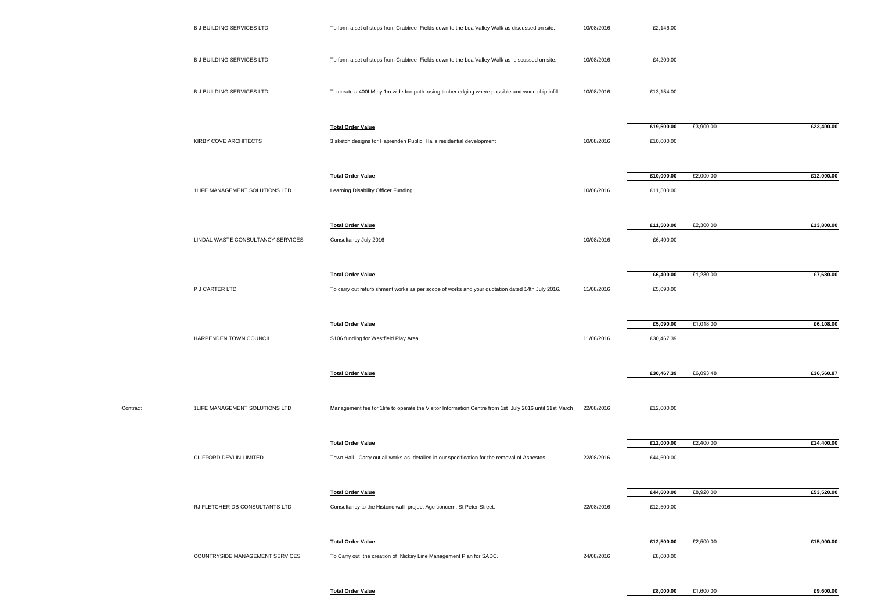|          | <b>B J BUILDING SERVICES LTD</b>  | To form a set of steps from Crabtree Fields down to the Lea Valley Walk as discussed on site.                               | 10/08/2016 | £2,146.00                |           |            |
|----------|-----------------------------------|-----------------------------------------------------------------------------------------------------------------------------|------------|--------------------------|-----------|------------|
|          | <b>B J BUILDING SERVICES LTD</b>  | To form a set of steps from Crabtree Fields down to the Lea Valley Walk as discussed on site.                               | 10/08/2016 | £4,200.00                |           |            |
|          | <b>B J BUILDING SERVICES LTD</b>  | To create a 400LM by 1m wide footpath using timber edging where possible and wood chip infill.                              | 10/08/2016 | £13,154.00               |           |            |
|          | KIRBY COVE ARCHITECTS             | <b>Total Order Value</b><br>3 sketch designs for Haprenden Public Halls residential development                             | 10/08/2016 | £19,500.00<br>£10,000.00 | £3,900.00 | £23,400.00 |
|          |                                   |                                                                                                                             |            |                          |           |            |
|          | 1LIFE MANAGEMENT SOLUTIONS LTD    | <b>Total Order Value</b><br>Learning Disability Officer Funding                                                             | 10/08/2016 | £10,000.00<br>£11,500.00 | £2,000.00 | £12,000.00 |
|          |                                   | <b>Total Order Value</b>                                                                                                    |            | £11,500.00               | £2,300.00 | £13,800.00 |
|          | LINDAL WASTE CONSULTANCY SERVICES | Consultancy July 2016                                                                                                       | 10/08/2016 | £6,400.00                |           |            |
|          | P J CARTER LTD                    | <b>Total Order Value</b><br>To carry out refurbishment works as per scope of works and your quotation dated 14th July 2016. | 11/08/2016 | £6,400.00<br>£5,090.00   | £1,280.00 | £7,680.00  |
|          | HARPENDEN TOWN COUNCIL            | <b>Total Order Value</b>                                                                                                    |            | £5,090.00<br>£30,467.39  | £1,018.00 | £6,108.00  |
|          |                                   | S106 funding for Westfield Play Area                                                                                        | 11/08/2016 |                          |           |            |
|          |                                   | <b>Total Order Value</b>                                                                                                    |            | £30,467.39               | £6,093.48 | £36,560.87 |
| Contract | 1LIFE MANAGEMENT SOLUTIONS LTD    | Management fee for 1life to operate the Visitor Information Centre from 1st July 2016 until 31st March                      | 22/08/2016 | £12,000.00               |           |            |
|          | CLIFFORD DEVLIN LIMITED           | <b>Total Order Value</b><br>Town Hall - Carry out all works as detailed in our specification for the removal of Asbestos.   | 22/08/2016 | £12,000.00<br>£44,600.00 | £2,400.00 | £14,400.00 |
|          |                                   |                                                                                                                             |            |                          |           |            |
|          | RJ FLETCHER DB CONSULTANTS LTD    | <b>Total Order Value</b><br>Consultancy to the Historic wall project Age concern, St Peter Street.                          | 22/08/2016 | £44,600.00<br>£12,500.00 | £8,920.00 | £53,520.00 |
|          |                                   | <b>Total Order Value</b>                                                                                                    |            | £12,500.00               | £2,500.00 | £15,000.00 |
|          | COUNTRYSIDE MANAGEMENT SERVICES   | To Carry out the creation of Nickey Line Management Plan for SADC.                                                          | 24/08/2016 | £8,000.00                |           |            |

**Total Order Value**

**£8,000.00** £1,600.00 **£9,600.00**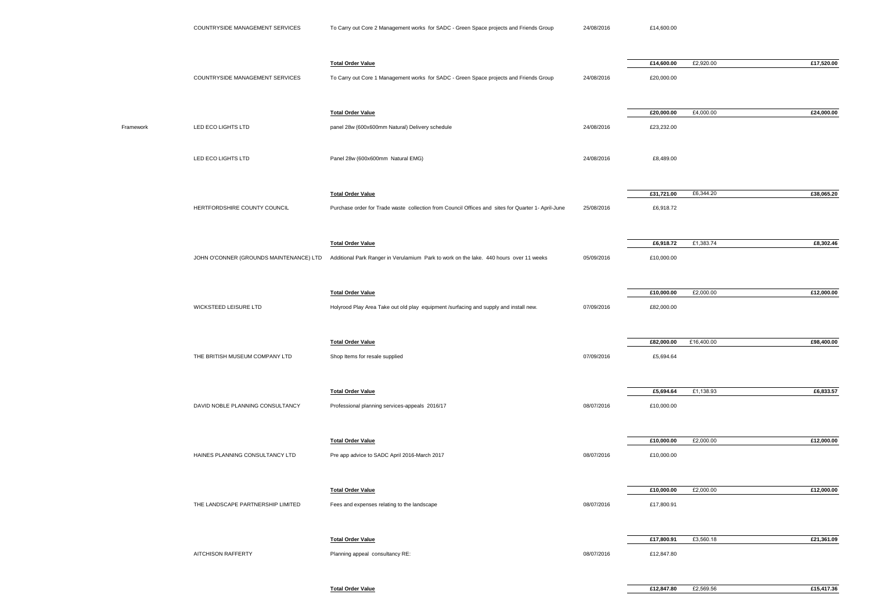|           |                                         | <b>Total Order Value</b>                                                                           |            | £14,600.00 | £2,920.00  | £17,520.00 |
|-----------|-----------------------------------------|----------------------------------------------------------------------------------------------------|------------|------------|------------|------------|
|           | COUNTRYSIDE MANAGEMENT SERVICES         | To Carry out Core 1 Management works for SADC - Green Space projects and Friends Group             | 24/08/2016 | £20,000.00 |            |            |
|           |                                         |                                                                                                    |            |            |            |            |
|           |                                         | <b>Total Order Value</b>                                                                           |            | £20,000.00 | £4,000.00  | £24,000.00 |
| Framework | LED ECO LIGHTS LTD                      | panel 28w (600x600mm Natural) Delivery schedule                                                    | 24/08/2016 | £23,232.00 |            |            |
|           |                                         |                                                                                                    |            |            |            |            |
|           |                                         |                                                                                                    |            |            |            |            |
|           | LED ECO LIGHTS LTD                      | Panel 28w (600x600mm Natural EMG)                                                                  | 24/08/2016 | £8,489.00  |            |            |
|           |                                         |                                                                                                    |            |            |            |            |
|           |                                         | <b>Total Order Value</b>                                                                           |            | £31,721.00 | £6,344.20  | £38,065.20 |
|           | HERTFORDSHIRE COUNTY COUNCIL            | Purchase order for Trade waste collection from Council Offices and sites for Quarter 1- April-June | 25/08/2016 | £6,918.72  |            |            |
|           |                                         |                                                                                                    |            |            |            |            |
|           |                                         | <b>Total Order Value</b>                                                                           |            | £6,918.72  | £1,383.74  | £8,302.46  |
|           | JOHN O'CONNER (GROUNDS MAINTENANCE) LTD | Additional Park Ranger in Verulamium Park to work on the lake. 440 hours over 11 weeks             | 05/09/2016 | £10,000.00 |            |            |
|           |                                         |                                                                                                    |            |            |            |            |
|           |                                         |                                                                                                    |            |            |            |            |
|           |                                         | <b>Total Order Value</b>                                                                           |            | £10,000.00 | £2,000.00  | £12,000.00 |
|           | WICKSTEED LEISURE LTD                   | Holyrood Play Area Take out old play equipment /surfacing and supply and install new.              | 07/09/2016 | £82,000.00 |            |            |
|           |                                         |                                                                                                    |            |            |            |            |
|           |                                         | <b>Total Order Value</b>                                                                           |            | £82,000.00 | £16,400.00 | £98,400.00 |
|           | THE BRITISH MUSEUM COMPANY LTD          | Shop Items for resale supplied                                                                     | 07/09/2016 | £5,694.64  |            |            |
|           |                                         |                                                                                                    |            |            |            |            |
|           |                                         | <b>Total Order Value</b>                                                                           |            | £5,694.64  | £1,138.93  | £6,833.57  |
|           | DAVID NOBLE PLANNING CONSULTANCY        | Professional planning services-appeals 2016/17                                                     | 08/07/2016 | £10,000.00 |            |            |
|           |                                         |                                                                                                    |            |            |            |            |
|           |                                         |                                                                                                    |            |            |            |            |
|           |                                         | <b>Total Order Value</b>                                                                           | 08/07/2016 | £10,000.00 | £2,000.00  | £12,000.00 |
|           | HAINES PLANNING CONSULTANCY LTD         | Pre app advice to SADC April 2016-March 2017                                                       |            | £10,000.00 |            |            |
|           |                                         |                                                                                                    |            |            |            |            |
|           |                                         | <b>Total Order Value</b>                                                                           |            | £10,000.00 | £2,000.00  | £12,000.00 |
|           | THE LANDSCAPE PARTNERSHIP LIMITED       | Fees and expenses relating to the landscape                                                        | 08/07/2016 | £17,800.91 |            |            |
|           |                                         |                                                                                                    |            |            |            |            |
|           |                                         | <b>Total Order Value</b>                                                                           |            | £17,800.91 | £3,560.18  | £21,361.09 |
|           | <b>AITCHISON RAFFERTY</b>               | Planning appeal consultancy RE:                                                                    | 08/07/2016 | £12,847.80 |            |            |
|           |                                         |                                                                                                    |            |            |            |            |

**Total Order Value**

**£12,847.80** £2,569.56 **£15,417.36**